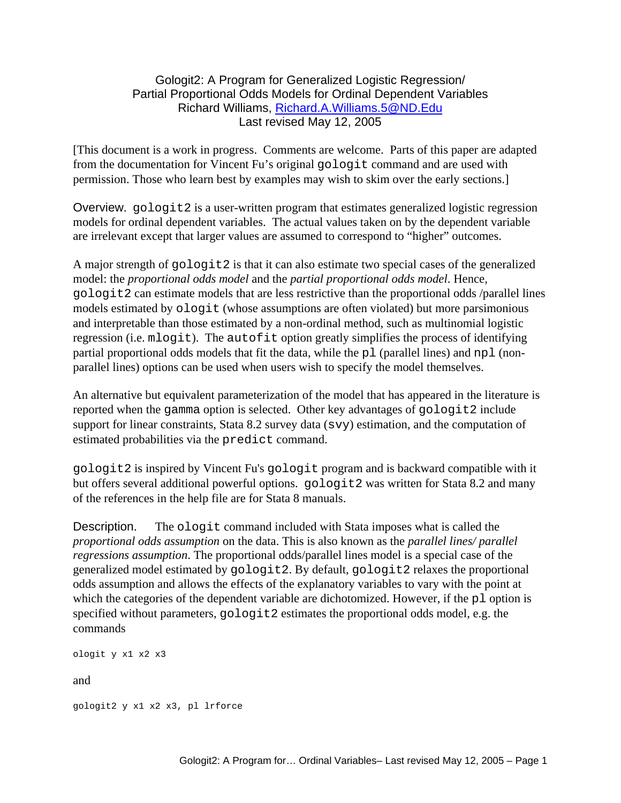# Gologit2: A Program for Generalized Logistic Regression/ Partial Proportional Odds Models for Ordinal Dependent Variables Richard Williams, [Richard.A.Williams.5@ND.Edu](mailto:Richard.A.Williams.5@ND.Edu) Last revised May 12, 2005

[This document is a work in progress. Comments are welcome. Parts of this paper are adapted from the documentation for Vincent Fu's original gologit command and are used with permission. Those who learn best by examples may wish to skim over the early sections.]

Overview. gologit2 is a user-written program that estimates generalized logistic regression models for ordinal dependent variables. The actual values taken on by the dependent variable are irrelevant except that larger values are assumed to correspond to "higher" outcomes.

A major strength of gologit2 is that it can also estimate two special cases of the generalized model: the *proportional odds model* and the *partial proportional odds model*. Hence, gologit2 can estimate models that are less restrictive than the proportional odds /parallel lines models estimated by ologit (whose assumptions are often violated) but more parsimonious and interpretable than those estimated by a non-ordinal method, such as multinomial logistic regression (i.e. mlogit). The autofit option greatly simplifies the process of identifying partial proportional odds models that fit the data, while the pl (parallel lines) and npl (nonparallel lines) options can be used when users wish to specify the model themselves.

An alternative but equivalent parameterization of the model that has appeared in the literature is reported when the gamma option is selected. Other key advantages of gologit2 include support for linear constraints, Stata 8.2 survey data (svy) estimation, and the computation of estimated probabilities via the predict command.

gologit2 is inspired by Vincent Fu's gologit program and is backward compatible with it but offers several additional powerful options. gologit2 was written for Stata 8.2 and many of the references in the help file are for Stata 8 manuals.

Description. The ologit command included with Stata imposes what is called the *proportional odds assumption* on the data. This is also known as the *parallel lines/ parallel regressions assumption*. The proportional odds/parallel lines model is a special case of the generalized model estimated by gologit2. By default, gologit2 relaxes the proportional odds assumption and allows the effects of the explanatory variables to vary with the point at which the categories of the dependent variable are dichotomized. However, if the pl option is specified without parameters, gologit2 estimates the proportional odds model, e.g. the commands

```
ologit y x1 x2 x3
```
and

gologit2 y x1 x2 x3, pl lrforce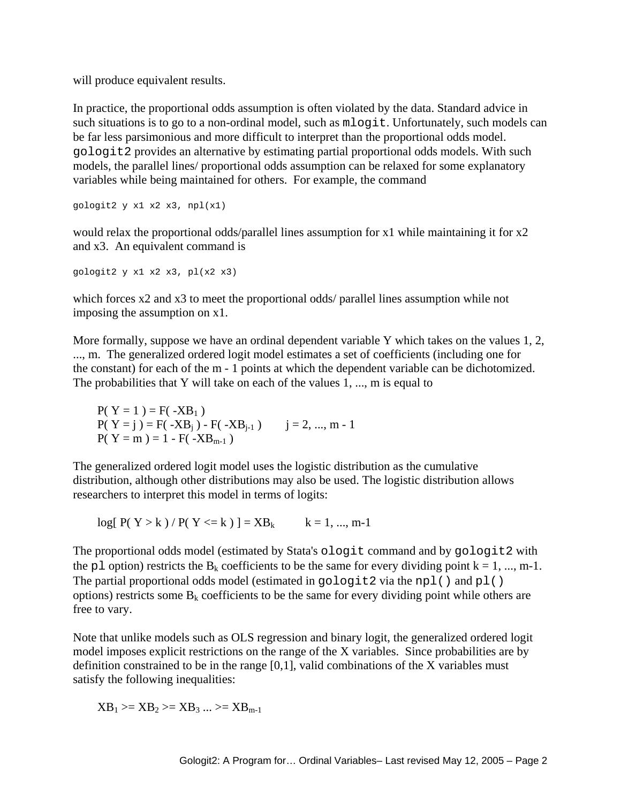will produce equivalent results.

In practice, the proportional odds assumption is often violated by the data. Standard advice in such situations is to go to a non-ordinal model, such as mlogit. Unfortunately, such models can be far less parsimonious and more difficult to interpret than the proportional odds model. gologit2 provides an alternative by estimating partial proportional odds models. With such models, the parallel lines/ proportional odds assumption can be relaxed for some explanatory variables while being maintained for others. For example, the command

gologit2 y x1 x2 x3, npl(x1)

would relax the proportional odds/parallel lines assumption for x1 while maintaining it for x2 and x3. An equivalent command is

gologit2 y x1 x2 x3, pl(x2 x3)

which forces x2 and x3 to meet the proportional odds/ parallel lines assumption while not imposing the assumption on x1.

More formally, suppose we have an ordinal dependent variable Y which takes on the values 1, 2, ..., m. The generalized ordered logit model estimates a set of coefficients (including one for the constant) for each of the m - 1 points at which the dependent variable can be dichotomized. The probabilities that Y will take on each of the values 1, ..., m is equal to

 $P(Y = 1) = F(-XB_1)$  $P(Y = j) = F(-XB<sub>i</sub>) - F(-XB<sub>i-1</sub>)$   $j = 2, ..., m - 1$  $P(Y = m) = 1 - F(-XB_{m-1})$ 

The generalized ordered logit model uses the logistic distribution as the cumulative distribution, although other distributions may also be used. The logistic distribution allows researchers to interpret this model in terms of logits:

 $log[ P(Y > k) / P(Y < = k) ] = XB_k$  k = 1, ..., m-1

The proportional odds model (estimated by Stata's ologit command and by gologit2 with the pl option) restricts the B<sub>k</sub> coefficients to be the same for every dividing point  $k = 1, ..., m-1$ . The partial proportional odds model (estimated in  $q \circ \text{logit2}$  via the npl() and pl() options) restricts some  $B_k$  coefficients to be the same for every dividing point while others are free to vary.

Note that unlike models such as OLS regression and binary logit, the generalized ordered logit model imposes explicit restrictions on the range of the X variables. Since probabilities are by definition constrained to be in the range [0,1], valid combinations of the X variables must satisfy the following inequalities:

$$
XB_1 \gg = XB_2 \gg = XB_3 ... \gg = XB_{m-1}
$$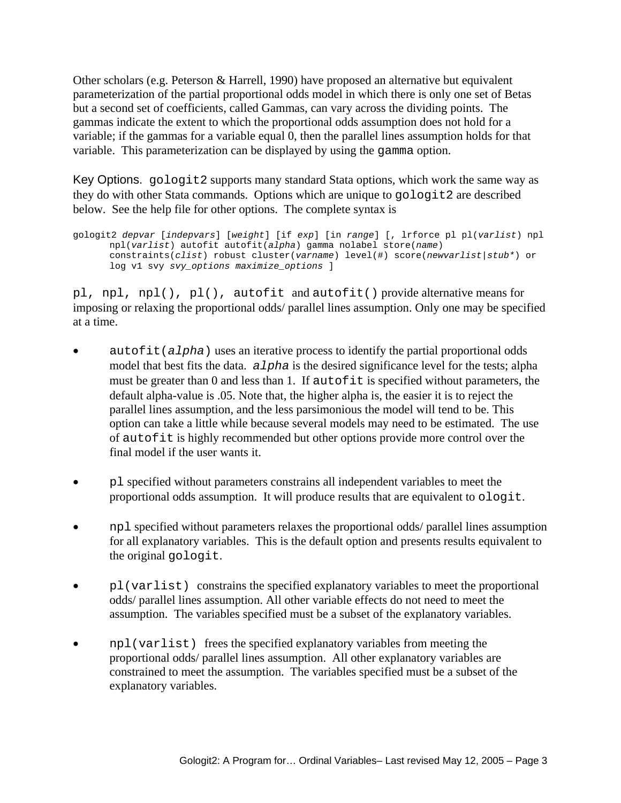Other scholars (e.g. Peterson & Harrell, 1990) have proposed an alternative but equivalent parameterization of the partial proportional odds model in which there is only one set of Betas but a second set of coefficients, called Gammas, can vary across the dividing points. The gammas indicate the extent to which the proportional odds assumption does not hold for a variable; if the gammas for a variable equal 0, then the parallel lines assumption holds for that variable. This parameterization can be displayed by using the gamma option.

Key Options. gologit2 supports many standard Stata options, which work the same way as they do with other Stata commands. Options which are unique to gologit2 are described below. See the help file for other options. The complete syntax is

```
gologit2 depvar [indepvars] [weight] [if exp] [in range] [, lrforce pl pl(varlist) npl 
      npl(varlist) autofit autofit(alpha) gamma nolabel store(name) 
      constraints(clist) robust cluster(varname) level(#) score(newvarlist|stub*) or 
      log v1 svy svy_options maximize_options ]
```
pl, npl, npl(), pl(), autofit and autofit() provide alternative means for imposing or relaxing the proportional odds/ parallel lines assumption. Only one may be specified at a time.

- autofit(*alpha*) uses an iterative process to identify the partial proportional odds model that best fits the data. *alpha* is the desired significance level for the tests; alpha must be greater than 0 and less than 1. If autofit is specified without parameters, the default alpha-value is .05. Note that, the higher alpha is, the easier it is to reject the parallel lines assumption, and the less parsimonious the model will tend to be. This option can take a little while because several models may need to be estimated. The use of autofit is highly recommended but other options provide more control over the final model if the user wants it.
- pl specified without parameters constrains all independent variables to meet the proportional odds assumption. It will produce results that are equivalent to ologit.
- npl specified without parameters relaxes the proportional odds/ parallel lines assumption for all explanatory variables. This is the default option and presents results equivalent to the original gologit.
- pl(varlist) constrains the specified explanatory variables to meet the proportional odds/ parallel lines assumption. All other variable effects do not need to meet the assumption. The variables specified must be a subset of the explanatory variables.
- npl(varlist) frees the specified explanatory variables from meeting the proportional odds/ parallel lines assumption. All other explanatory variables are constrained to meet the assumption. The variables specified must be a subset of the explanatory variables.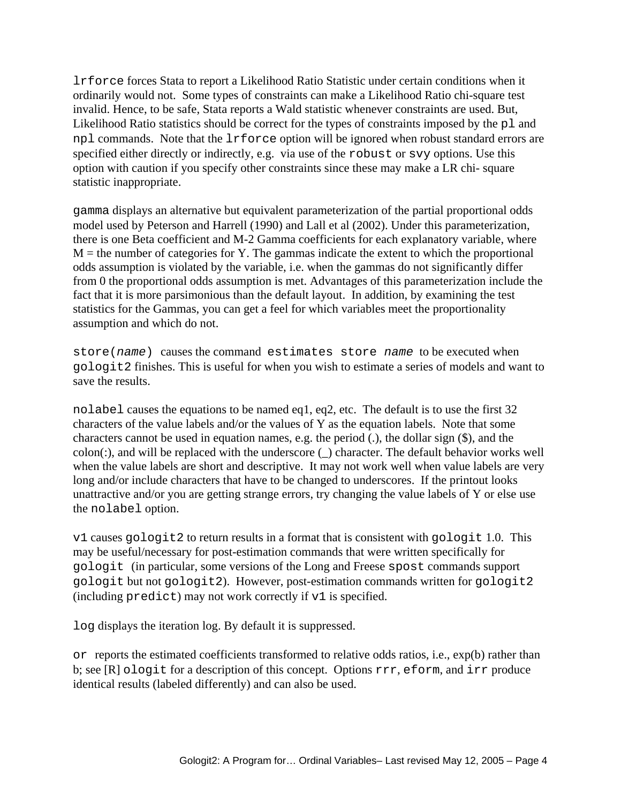lrforce forces Stata to report a Likelihood Ratio Statistic under certain conditions when it ordinarily would not. Some types of constraints can make a Likelihood Ratio chi-square test invalid. Hence, to be safe, Stata reports a Wald statistic whenever constraints are used. But, Likelihood Ratio statistics should be correct for the types of constraints imposed by the pl and npl commands. Note that the lrforce option will be ignored when robust standard errors are specified either directly or indirectly, e.g. via use of the robust or svy options. Use this option with caution if you specify other constraints since these may make a LR chi- square statistic inappropriate.

gamma displays an alternative but equivalent parameterization of the partial proportional odds model used by Peterson and Harrell (1990) and Lall et al (2002). Under this parameterization, there is one Beta coefficient and M-2 Gamma coefficients for each explanatory variable, where  $M =$  the number of categories for Y. The gammas indicate the extent to which the proportional odds assumption is violated by the variable, i.e. when the gammas do not significantly differ from 0 the proportional odds assumption is met. Advantages of this parameterization include the fact that it is more parsimonious than the default layout. In addition, by examining the test statistics for the Gammas, you can get a feel for which variables meet the proportionality assumption and which do not.

store(*name*) causes the command estimates store *name* to be executed when gologit2 finishes. This is useful for when you wish to estimate a series of models and want to save the results.

nolabel causes the equations to be named eq1, eq2, etc. The default is to use the first 32 characters of the value labels and/or the values of Y as the equation labels. Note that some characters cannot be used in equation names, e.g. the period (.), the dollar sign (\$), and the colon(:), and will be replaced with the underscore (\_) character. The default behavior works well when the value labels are short and descriptive. It may not work well when value labels are very long and/or include characters that have to be changed to underscores. If the printout looks unattractive and/or you are getting strange errors, try changing the value labels of Y or else use the nolabel option.

v1 causes gologit2 to return results in a format that is consistent with gologit 1.0. This may be useful/necessary for post-estimation commands that were written specifically for gologit (in particular, some versions of the Long and Freese spost commands support gologit but not gologit2). However, post-estimation commands written for gologit2 (including predict) may not work correctly if v1 is specified.

log displays the iteration log. By default it is suppressed.

or reports the estimated coefficients transformed to relative odds ratios, i.e., exp(b) rather than b; see [R] ologit for a description of this concept. Options rrr, eform, and irr produce identical results (labeled differently) and can also be used.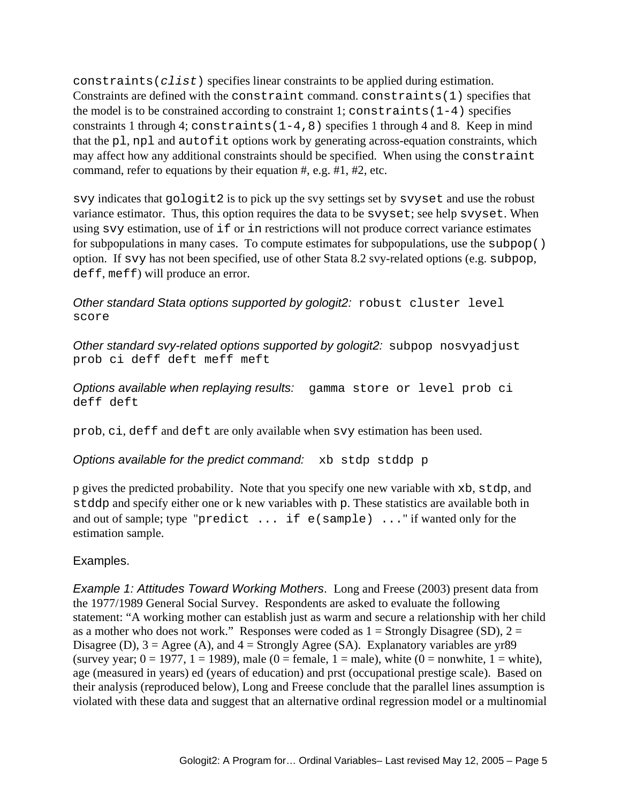constraints(*clist*) specifies linear constraints to be applied during estimation. Constraints are defined with the constraint command. constraints(1) specifies that the model is to be constrained according to constraint 1; constraints  $(1-4)$  specifies constraints 1 through 4; constraints  $(1-4,8)$  specifies 1 through 4 and 8. Keep in mind that the pl, npl and autofit options work by generating across-equation constraints, which may affect how any additional constraints should be specified. When using the constraint command, refer to equations by their equation  $\#$ , e.g.  $\#1$ ,  $\#2$ , etc.

svy indicates that gologit2 is to pick up the svy settings set by svyset and use the robust variance estimator. Thus, this option requires the data to be svyset; see help svyset. When using svy estimation, use of if or in restrictions will not produce correct variance estimates for subpopulations in many cases. To compute estimates for subpopulations, use the subpop() option. If svy has not been specified, use of other Stata 8.2 svy-related options (e.g. subpop, deff, meff) will produce an error.

*Other standard Stata options supported by gologit2:* robust cluster level score

*Other standard svy-related options supported by gologit2:* subpop nosvyadjust prob ci deff deft meff meft

*Options available when replaying results:* gamma store or level prob ci deff deft

prob, ci, deff and deft are only available when svy estimation has been used.

*Options available for the predict command:* xb stdp stddp p

p gives the predicted probability. Note that you specify one new variable with xb, stdp, and stddp and specify either one or k new variables with p. These statistics are available both in and out of sample; type "predict ... if e(sample) ..." if wanted only for the estimation sample.

Examples.

*Example 1: Attitudes Toward Working Mothers*. Long and Freese (2003) present data from the 1977/1989 General Social Survey. Respondents are asked to evaluate the following statement: "A working mother can establish just as warm and secure a relationship with her child as a mother who does not work." Responses were coded as  $1 =$  Strongly Disagree (SD),  $2 =$ Disagree (D),  $3 = \text{Agree}$  (A), and  $4 = \text{Strongly Agee}$  (SA). Explanatory variables are yr89 (survey year;  $0 = 1977$ ,  $1 = 1989$ ), male ( $0 =$  female,  $1 =$  male), white ( $0 =$  nonwhite,  $1 =$  white), age (measured in years) ed (years of education) and prst (occupational prestige scale). Based on their analysis (reproduced below), Long and Freese conclude that the parallel lines assumption is violated with these data and suggest that an alternative ordinal regression model or a multinomial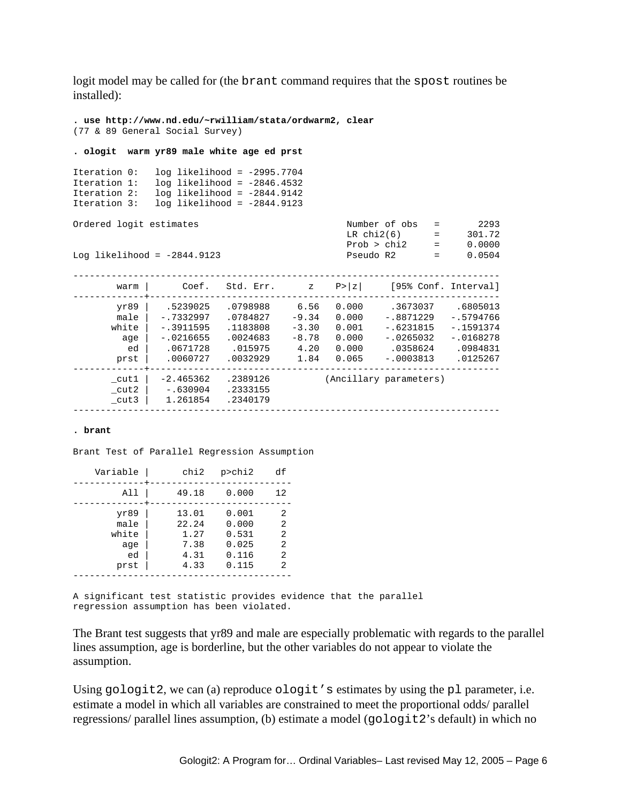logit model may be called for (the brant command requires that the spost routines be installed):

```
. use http://www.nd.edu/~rwilliam/stata/ordwarm2, clear 
(77 & 89 General Social Survey) 
. ologit warm yr89 male white age ed prst 
Iteration 0: log likelihood = -2995.7704 
Iteration 1: log likelihood = -2846.4532 
Iteration 2: log likelihood = -2844.9142 
Iteration 3: log likelihood = -2844.9123 
Ordered logit estimates Number of obs = 2293
LR chi2(6) = 301.72 Prob > chi2 = 0.0000 
Log likelihood = -2844.9123 Pseudo R2 = 0.0504 
    ------------------------------------------------------------------------------ 
      warm | Coef. Std. Err. z P>|z| [95% Conf. Interval] 
-------------+---------------------------------------------------------------- 
      yr89 | .5239025 .0798988 6.56 0.000 .3673037 .6805013 
 male | -.7332997 .0784827 -9.34 0.000 -.8871229 -.5794766 
 white | -.3911595 .1183808 -3.30 0.001 -.6231815 -.1591374 
 age | -.0216655 .0024683 -8.78 0.000 -.0265032 -.0168278 
 ed | .0671728 .015975 4.20 0.000 .0358624 .0984831 
 prst | .0060727 .0032929 1.84 0.065 -.0003813 .0125267 
 -------------+---------------------------------------------------------------- 
 _cut1 | -2.465362 .2389126 (Ancillary parameters) 
_{\rm cut2} | -.630904 .2333155
 _cut3 | 1.261854 .2340179 
                             ------------------------------------------------------------------------------
```
#### **. brant**

Brant Test of Parallel Regression Assumption

| Variable                                   | chi2                                           | $p$ >chi $2$                                       | df                         |
|--------------------------------------------|------------------------------------------------|----------------------------------------------------|----------------------------|
| All                                        | 49.18                                          | 0.000                                              | 12                         |
| yr89<br>male<br>white<br>age<br>ed<br>prst | 13.01<br>22.24<br>1.27<br>7.38<br>4.31<br>4.33 | 0.001<br>0.000<br>0.531<br>0.025<br>0.116<br>0.115 | 2<br>2<br>2<br>2<br>2<br>2 |
|                                            |                                                |                                                    |                            |

A significant test statistic provides evidence that the parallel regression assumption has been violated.

The Brant test suggests that yr89 and male are especially problematic with regards to the parallel lines assumption, age is borderline, but the other variables do not appear to violate the assumption.

Using gologit2, we can (a) reproduce ologit's estimates by using the pl parameter, i.e. estimate a model in which all variables are constrained to meet the proportional odds/ parallel regressions/ parallel lines assumption, (b) estimate a model (gologit2's default) in which no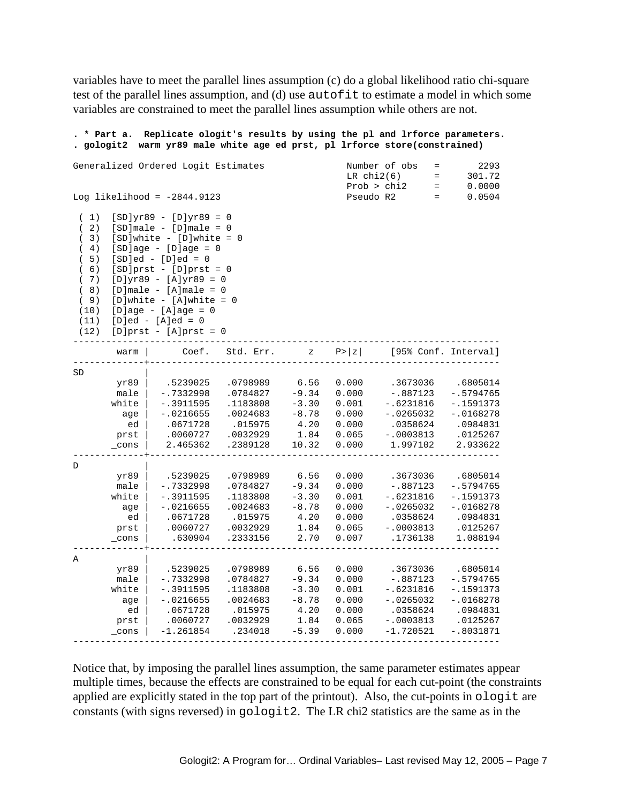variables have to meet the parallel lines assumption (c) do a global likelihood ratio chi-square test of the parallel lines assumption, and (d) use autofit to estimate a model in which some variables are constrained to meet the parallel lines assumption while others are not.

| gologit2                                                                            | * Part a.                                              | Replicate ologit's results by using the pl and lrforce parameters.<br>warm yr89 male white age ed prst, pl lrforce store(constrained)                                                                                                                                                                                                                          |                                                                                 |                                                                  |                                                             |                                                                                                |                                                                                            |
|-------------------------------------------------------------------------------------|--------------------------------------------------------|----------------------------------------------------------------------------------------------------------------------------------------------------------------------------------------------------------------------------------------------------------------------------------------------------------------------------------------------------------------|---------------------------------------------------------------------------------|------------------------------------------------------------------|-------------------------------------------------------------|------------------------------------------------------------------------------------------------|--------------------------------------------------------------------------------------------|
|                                                                                     |                                                        | Generalized Ordered Logit Estimates                                                                                                                                                                                                                                                                                                                            |                                                                                 |                                                                  | LRchi(6)                                                    | Number of obs<br>$=$<br>$=$<br>Prob > chi2<br>$=$                                              | 2293<br>301.72<br>0.0000                                                                   |
|                                                                                     |                                                        | Log likelihood = $-2844.9123$                                                                                                                                                                                                                                                                                                                                  |                                                                                 |                                                                  | Pseudo R2                                                   | $=$                                                                                            | 0.0504                                                                                     |
| (1)<br>(2)<br>(3)<br>(4)<br>(5)<br>(6)<br>(7)<br>(8)<br>(9)<br>(10)<br>(11)<br>(12) |                                                        | $[SD]yr89 - [D]yr89 = 0$<br>$[SD] \text{male} - [D] \text{male} = 0$<br>$[SD]$ white - $[D]$ white = 0<br>$[SD]age - [D]age = 0$<br>$[SD]ed - [D]ed = 0$<br>$[SD]prst - [D]prst = 0$<br>$[D]yr89 - [A]yr89 = 0$<br>$[D]$ male - $[A]$ male = 0<br>$[D]$ white - $[A]$ white = 0<br>$[D]age - [A]age = 0$<br>$[D]$ ed - $[A]$ ed = 0<br>$[D]prst - [A]prst = 0$ |                                                                                 |                                                                  |                                                             |                                                                                                |                                                                                            |
|                                                                                     | warm                                                   | Coef.                                                                                                                                                                                                                                                                                                                                                          | Std. Err.                                                                       | $\mathbf{z}$                                                     | P >  z                                                      |                                                                                                | [95% Conf. Interval]                                                                       |
| SD                                                                                  | yr89<br>male<br>white<br>age<br>ed<br>prst<br>$\_cons$ | .5239025<br>$-.7332998$<br>$-.3911595$<br>$-.0216655$<br>.0671728<br>.0060727<br>2.465362                                                                                                                                                                                                                                                                      | .0798989<br>.0784827<br>.1183808<br>.0024683<br>.015975<br>.0032929<br>.2389128 | 6.56<br>$-9.34$<br>$-3.30$<br>$-8.78$<br>4.20<br>1.84<br>10.32   | 0.000<br>0.000<br>0.001<br>0.000<br>0.000<br>0.065<br>0.000 | .3673036<br>$-.887123$<br>$-.6231816$<br>$-.0265032$<br>.0358624<br>$-.0003813$<br>1.997102    | .6805014<br>$-.5794765$<br>$-.1591373$<br>$-.0168278$<br>.0984831<br>.0125267<br>2.933622  |
| D                                                                                   | yr89<br>male<br>white<br>age<br>ed<br>prst<br>cons     | .5239025<br>$-.7332998$<br>$-.3911595$<br>$-.0216655$<br>.0671728<br>.0060727<br>.630904                                                                                                                                                                                                                                                                       | .0798989<br>.0784827<br>.1183808<br>.0024683<br>.015975<br>.0032929<br>.2333156 | 6.56<br>$-9.34$<br>$-3.30$<br>$-8.78$<br>4.20<br>1.84<br>2.70    | 0.000<br>0.000<br>0.001<br>0.000<br>0.000<br>0.065<br>0.007 | .3673036<br>$-.887123$<br>$-.6231816$<br>$-.0265032$<br>.0358624<br>$-.0003813$<br>.1736138    | .6805014<br>$-.5794765$<br>$-.1591373$<br>$-.0168278$<br>.0984831<br>.0125267<br>1.088194  |
| Α                                                                                   | yr89<br>male<br>white<br>age<br>ed<br>prst<br>_cons    | .5239025<br>$-.7332998$<br>$-.3911595$<br>$-.0216655$<br>.0671728<br>.0060727<br>$-1.261854$                                                                                                                                                                                                                                                                   | .0798989<br>.0784827<br>.1183808<br>.0024683<br>.015975<br>.0032929<br>.234018  | 6.56<br>$-9.34$<br>$-3.30$<br>$-8.78$<br>4.20<br>1.84<br>$-5.39$ | 0.000<br>0.000<br>0.001<br>0.000<br>0.000<br>0.065<br>0.000 | .3673036<br>$-.887123$<br>$-.6231816$<br>$-.0265032$<br>.0358624<br>$-.0003813$<br>$-1.720521$ | .6805014<br>$-.5794765$<br>$-.1591373$<br>$-.0168278$<br>.0984831<br>.0125267<br>-.8031871 |

Notice that, by imposing the parallel lines assumption, the same parameter estimates appear multiple times, because the effects are constrained to be equal for each cut-point (the constraints applied are explicitly stated in the top part of the printout). Also, the cut-points in ologit are constants (with signs reversed) in gologit2. The LR chi2 statistics are the same as in the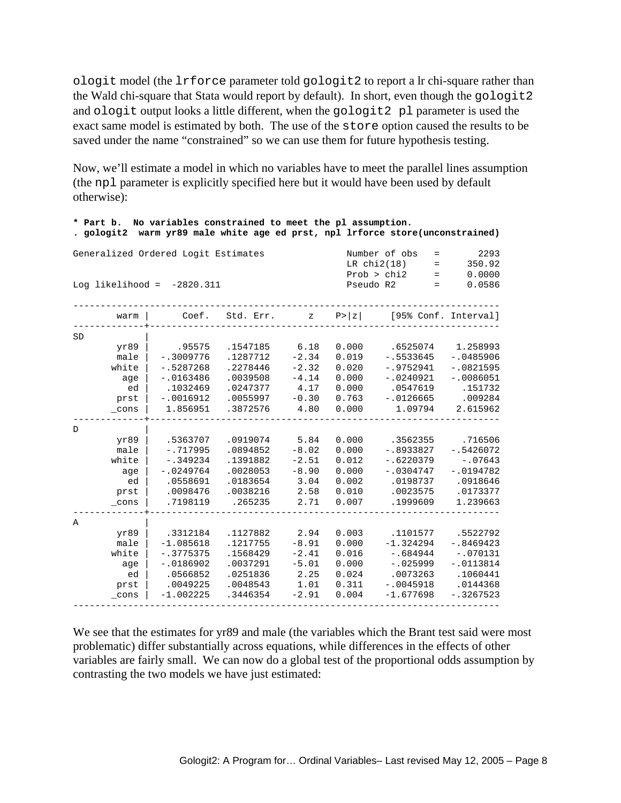ologit model (the lrforce parameter told gologit2 to report a lr chi-square rather than the Wald chi-square that Stata would report by default). In short, even though the gologit2 and ologit output looks a little different, when the gologit2 pl parameter is used the exact same model is estimated by both. The use of the store option caused the results to be saved under the name "constrained" so we can use them for future hypothesis testing.

Now, we'll estimate a model in which no variables have to meet the parallel lines assumption (the npl parameter is explicitly specified here but it would have been used by default otherwise):

**\* Part b. No variables constrained to meet the pl assumption.** 

| . gologit2                          |                         | warm yr89 male white age ed prst, npl lrforce store(unconstrained) |                      |                 |                                               |                        |                          |
|-------------------------------------|-------------------------|--------------------------------------------------------------------|----------------------|-----------------|-----------------------------------------------|------------------------|--------------------------|
| Generalized Ordered Logit Estimates |                         |                                                                    |                      |                 | Number of obs<br>LR $chi2(18)$<br>Prob > chi2 | $\equiv$<br>$=$<br>$=$ | 2293<br>350.92<br>0.0000 |
| Log likelihood = $-2820.311$        |                         |                                                                    |                      |                 | Pseudo R2                                     | $=$                    | 0.0586                   |
| warm                                |                         | Coef.                                                              | Std. Err.            | $\mathbf{z}$    | P >  z                                        |                        | [95% Conf. Interval]     |
| <b>SD</b>                           |                         |                                                                    |                      |                 |                                               |                        |                          |
| yr89                                |                         | .95575                                                             | .1547185             | 6.18            | 0.000                                         | .6525074               | 1.258993                 |
| male                                | $-.3009776$             |                                                                    | .1287712             | $-2.34$         | 0.019                                         | $-15533645$            | $-.0485906$              |
| white                               | $-.5287268$             |                                                                    | .2278446             | $-2.32$         | 0.020                                         | $-.9752941$            | $-10821595$              |
| age                                 | $-.0163486$             |                                                                    | .0039508             | $-4.14$         | 0.000                                         | $-.0240921$            | $-10086051$              |
| ed                                  | .1032469                |                                                                    | .0247377             | 4.17            | 0.000                                         | .0547619               | .151732                  |
| prst                                | $-.0016912$<br>1.856951 |                                                                    | .0055997<br>.3872576 | $-0.30$<br>4.80 | 0.763                                         | $-.0126665$<br>1.09794 | .009284<br>2.615962      |
| _cons                               |                         |                                                                    |                      |                 | 0.000                                         |                        |                          |
| D                                   |                         |                                                                    |                      |                 |                                               |                        |                          |
| yr89                                | .5363707                |                                                                    | .0919074             | 5.84            | 0.000                                         | .3562355               | .716506                  |
| male                                | $-.717995$              |                                                                    | .0894852             | $-8.02$         | 0.000                                         | $-.8933827$            | $-.5426072$              |
| white                               | $-.349234$              |                                                                    | .1391882             | $-2.51$         | 0.012                                         | $-.6220379$            | $-.07643$                |
| age                                 | $-.0249764$             |                                                                    | .0028053             | $-8.90$         | 0.000                                         | $-.0304747$            | $-.0194782$              |
| ed                                  | .0558691                |                                                                    | .0183654             | 3.04            | 0.002                                         | .0198737               | .0918646                 |
| prst                                | .0098476                |                                                                    | .0038216             | 2.58            | 0.010                                         | .0023575               | .0173377                 |
| _cons                               | .7198119                |                                                                    | .265235              | 2.71            | 0.007                                         | .1999609               | 1.239663                 |
| Α                                   |                         |                                                                    |                      |                 |                                               |                        |                          |
| yr89                                | .3312184                |                                                                    | .1127882             | 2.94            | 0.003                                         | .1101577               | .5522792                 |
| male                                | $-1.085618$             |                                                                    | .1217755             | $-8.91$         | 0.000                                         | $-1.324294$            | $-.8469423$              |
| white                               | $-.3775375$             |                                                                    | .1568429             | $-2.41$         | 0.016                                         | $-1684944$             | $-.070131$               |
| age                                 | $-.0186902$             |                                                                    | .0037291             | $-5.01$         | 0.000                                         | $-1025999$             | $-.0113814$              |
| ed                                  | .0566852                |                                                                    | .0251836             | 2.25            | 0.024                                         | .0073263               | .1060441                 |
| prst                                | .0049225                |                                                                    | .0048543             | 1.01            | 0.311                                         | $-.0045918$            | .0144368                 |
| _cons                               | $-1.002225$             |                                                                    | .3446354             | $-2.91$         | 0.004                                         | $-1.677698$            | $-.3267523$              |
|                                     |                         |                                                                    |                      |                 |                                               |                        |                          |

We see that the estimates for yr89 and male (the variables which the Brant test said were most problematic) differ substantially across equations, while differences in the effects of other variables are fairly small. We can now do a global test of the proportional odds assumption by contrasting the two models we have just estimated: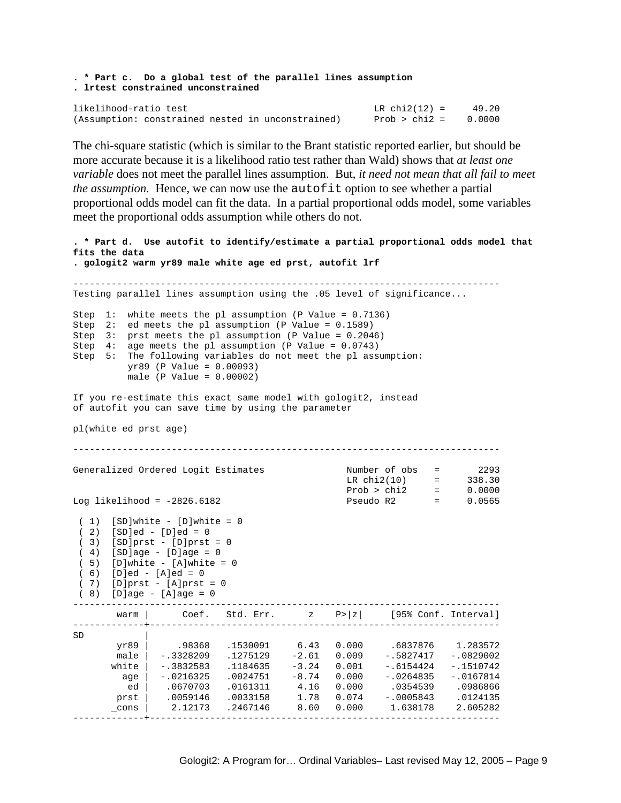```
. * Part c. Do a global test of the parallel lines assumption 
. lrtest constrained unconstrained 
likelihood-ratio test LR chi2(12) = 49.20<br>(Assumption: constrained nested in unconstrained) Prob > chi2 = 0.0000
(Assumption: constrained nested in unconstrained)
```
The chi-square statistic (which is similar to the Brant statistic reported earlier, but should be more accurate because it is a likelihood ratio test rather than Wald) shows that *at least one variable* does not meet the parallel lines assumption. But, *it need not mean that all fail to meet the assumption.* Hence, we can now use the autofit option to see whether a partial proportional odds model can fit the data. In a partial proportional odds model, some variables meet the proportional odds assumption while others do not.

```
. * Part d. Use autofit to identify/estimate a partial proportional odds model that 
fits the data 
. gologit2 warm yr89 male white age ed prst, autofit lrf 
    ------------------------------------------------------------------------------ 
Testing parallel lines assumption using the .05 level of significance... 
Step 1: white meets the pl assumption (P Value = 0.7136) 
Step 2: ed meets the pl assumption (P Value = 0.1589)
Step 3: prst meets the pl assumption (P Value = 0.2046) 
Step 4: age meets the pl assumption (P Value = 0.0743) 
Step 5: The following variables do not meet the pl assumption: 
         yr89 (P Value = 0.00093) 
         male (P Value = 0.00002) 
If you re-estimate this exact same model with gologit2, instead 
of autofit you can save time by using the parameter 
pl(white ed prst age) 
  ------------------------------------------------------------------------------ 
Generalized Ordered Logit Estimates Number of obs = 2293 
LR \text{ chi}(10) = 338.30
 Prob > chi2 = 0.0000 
Log likelihood = -2826.6182 Pseudo R2 = 0.0565 
(1) [SD]white - [D]white = 0
(2) [SD]ed - [D]ed = 0
 ( 3) [SD]prst - [D]prst = 0 
 ( 4) [SD]age - [D]age = 0 
(5) [D]white - [A]white = 0
 ( 6) [D]ed - [A]ed = 0 
 ( 7) [D]prst - [A]prst = 0 
( 8) [D]age - [A]age = 0
------------------------------------------------------------------------------ 
      warm | Coef. Std. Err. z P>|z| [95% Conf. Interval]
-------------+---------------------------------------------------------------- 
SD |
       yr89 | .98368 .1530091 6.43 0.000 .6837876 1.283572 
       male | -.3328209 .1275129 -2.61 0.009 -.5827417 -.0829002 
     white | -.3832583 .1184635 -3.24 0.001 -.6154424 -.1510742
        age | -.0216325 .0024751 -8.74 0.000 -.0264835 -.0167814 
        ed | .0670703 .0161311 4.16 0.000 .0354539 .0986866 
 prst | .0059146 .0033158 1.78 0.074 -.0005843 .0124135 
 _cons | 2.12173 .2467146 8.60 0.000 1.638178 2.605282 
-------------+----------------------------------------------------------------
```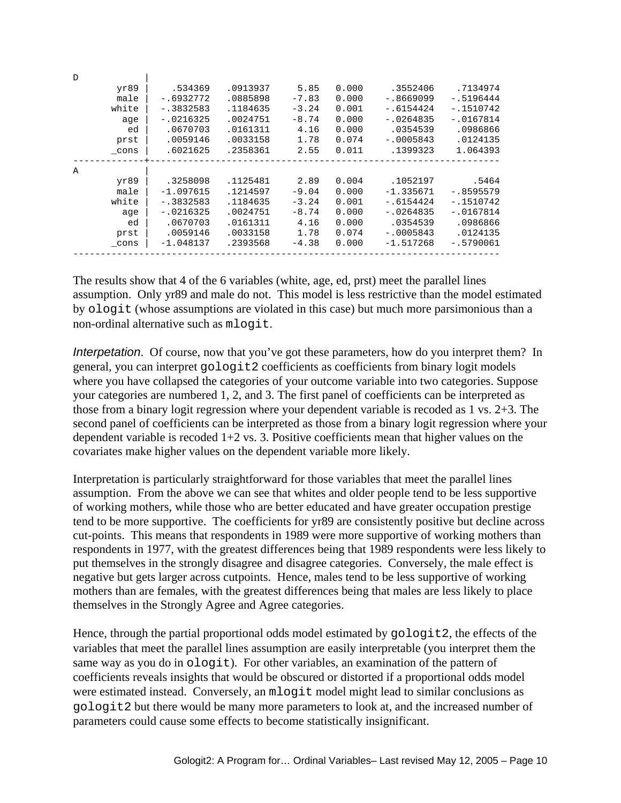| $\mathcal{D}$ |             |          |         |       |              |             |
|---------------|-------------|----------|---------|-------|--------------|-------------|
| yr89          | .534369     | .0913937 | 5.85    | 0.000 | .3552406     | .7134974    |
| male          | $-.6932772$ | .0885898 | $-7.83$ | 0.000 | $-.8669099$  | $-15196444$ |
| white         | $-.3832583$ | .1184635 | $-3.24$ | 0.001 | $-0.6154424$ | $-.1510742$ |
| age           | $-.0216325$ | .0024751 | $-8.74$ | 0.000 | $-.0264835$  | $-.0167814$ |
| ed            | .0670703    | .0161311 | 4.16    | 0.000 | .0354539     | .0986866    |
| prst          | .0059146    | .0033158 | 1.78    | 0.074 | $-.0005843$  | .0124135    |
| cons          | .6021625    | .2358361 | 2.55    | 0.011 | .1399323     | 1.064393    |
| A             |             |          |         |       |              |             |
| yr89          | .3258098    | .1125481 | 2.89    | 0.004 | .1052197     | .5464       |
| male          | $-1.097615$ | .1214597 | $-9.04$ | 0.000 | $-1.335671$  | $-.8595579$ |
| white         | $-.3832583$ | .1184635 | $-3.24$ | 0.001 | $-0.6154424$ | $-.1510742$ |
| age           | $-.0216325$ | .0024751 | $-8.74$ | 0.000 | $-.0264835$  | $-.0167814$ |
| ed            | .0670703    | .0161311 | 4.16    | 0.000 | .0354539     | .0986866    |
| prst          | .0059146    | .0033158 | 1.78    | 0.074 | $-.0005843$  | .0124135    |
| cons          | $-1.048137$ | .2393568 | $-4.38$ | 0.000 | $-1.517268$  | $-.5790061$ |
|               |             |          |         |       |              |             |

The results show that 4 of the 6 variables (white, age, ed, prst) meet the parallel lines assumption. Only yr89 and male do not. This model is less restrictive than the model estimated by ologit (whose assumptions are violated in this case) but much more parsimonious than a non-ordinal alternative such as mlogit.

*Interpetation*. Of course, now that you've got these parameters, how do you interpret them? In general, you can interpret gologit2 coefficients as coefficients from binary logit models where you have collapsed the categories of your outcome variable into two categories. Suppose your categories are numbered 1, 2, and 3. The first panel of coefficients can be interpreted as those from a binary logit regression where your dependent variable is recoded as 1 vs. 2+3. The second panel of coefficients can be interpreted as those from a binary logit regression where your dependent variable is recoded 1+2 vs. 3. Positive coefficients mean that higher values on the covariates make higher values on the dependent variable more likely.

Interpretation is particularly straightforward for those variables that meet the parallel lines assumption. From the above we can see that whites and older people tend to be less supportive of working mothers, while those who are better educated and have greater occupation prestige tend to be more supportive. The coefficients for yr89 are consistently positive but decline across cut-points. This means that respondents in 1989 were more supportive of working mothers than respondents in 1977, with the greatest differences being that 1989 respondents were less likely to put themselves in the strongly disagree and disagree categories. Conversely, the male effect is negative but gets larger across cutpoints. Hence, males tend to be less supportive of working mothers than are females, with the greatest differences being that males are less likely to place themselves in the Strongly Agree and Agree categories.

Hence, through the partial proportional odds model estimated by gologit2, the effects of the variables that meet the parallel lines assumption are easily interpretable (you interpret them the same way as you do in ologit). For other variables, an examination of the pattern of coefficients reveals insights that would be obscured or distorted if a proportional odds model were estimated instead. Conversely, an mlogit model might lead to similar conclusions as gologit2 but there would be many more parameters to look at, and the increased number of parameters could cause some effects to become statistically insignificant.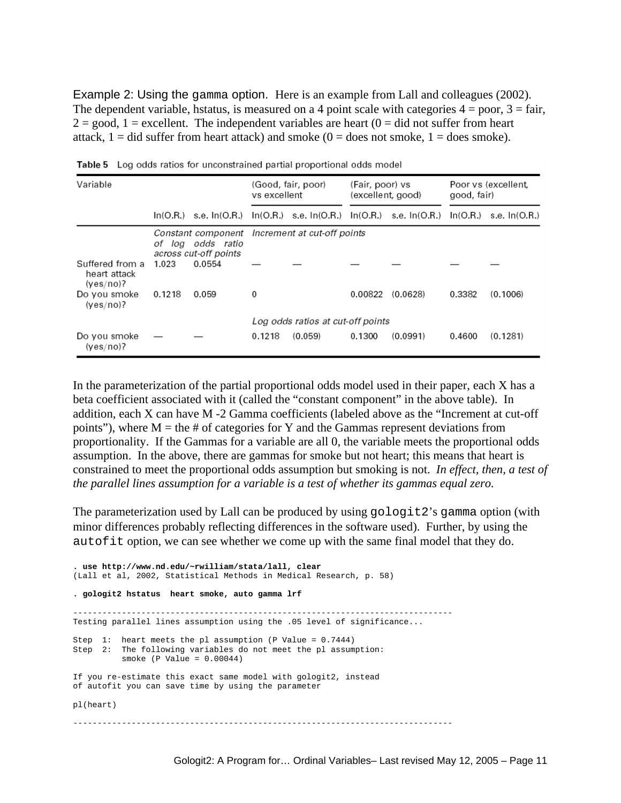Example 2: Using the gamma option. Here is an example from Lall and colleagues (2002). The dependent variable, hstatus, is measured on a 4 point scale with categories  $4 = p$ oor,  $3 = \text{fair}$ ,  $2 = \text{good}$ ,  $1 = \text{excellent}$ . The independent variables are heart  $(0 = \text{did not suffer from heart})$ attack,  $1 =$  did suffer from heart attack) and smoke  $(0 =$  does not smoke,  $1 =$  does smoke).

| Variable                                     |        |                                            | (Good, fair, poor)<br>vs excellent |                                                                                                         | (Fair, poor) vs<br>(excellent, good) |          | Poor vs (excellent,<br>good, fair) |          |
|----------------------------------------------|--------|--------------------------------------------|------------------------------------|---------------------------------------------------------------------------------------------------------|--------------------------------------|----------|------------------------------------|----------|
|                                              |        |                                            |                                    | $\ln(O.R.)$ s.e. $\ln(O.R.)$ $\ln(O.R.)$ s.e. $\ln(O.R.)$ s.e. $\ln(O.R.)$ $\ln(O.R.)$ s.e. $\ln(O.R.)$ |                                      |          |                                    |          |
|                                              |        | of log odds ratio<br>across cut-off points |                                    | Constant component Increment at cut-off points                                                          |                                      |          |                                    |          |
| Suffered from a<br>heart attack<br>(yes/no)? | 1.023  | 0.0554                                     |                                    |                                                                                                         |                                      |          |                                    |          |
| Do you smoke<br>(yes/no)?                    | 0.1218 | 0.059                                      | 0                                  |                                                                                                         | 0.00822                              | (0.0628) | 0.3382                             | (0.1006) |
|                                              |        |                                            |                                    | Log odds ratios at cut-off points                                                                       |                                      |          |                                    |          |
| Do you smoke<br>(yes/no)?                    |        |                                            | 0.1218                             | (0.059)                                                                                                 | 0.1300                               | (0.0991) | 0.4600                             | (0.1281) |

Table 5 Log odds ratios for unconstrained partial proportional odds model

In the parameterization of the partial proportional odds model used in their paper, each X has a beta coefficient associated with it (called the "constant component" in the above table). In addition, each X can have M -2 Gamma coefficients (labeled above as the "Increment at cut-off points"), where  $M =$  the  $\#$  of categories for Y and the Gammas represent deviations from proportionality. If the Gammas for a variable are all 0, the variable meets the proportional odds assumption. In the above, there are gammas for smoke but not heart; this means that heart is constrained to meet the proportional odds assumption but smoking is not. *In effect, then, a test of the parallel lines assumption for a variable is a test of whether its gammas equal zero.*

The parameterization used by Lall can be produced by using gologit2's gamma option (with minor differences probably reflecting differences in the software used). Further, by using the autofit option, we can see whether we come up with the same final model that they do.

**. use http://www.nd.edu/~rwilliam/stata/lall, clear**  (Lall et al, 2002, Statistical Methods in Medical Research, p. 58) **. gologit2 hstatus heart smoke, auto gamma lrf**  Testing parallel lines assumption using the .05 level of significance... Step 1: heart meets the pl assumption (P Value = 0.7444) Step 2: The following variables do not meet the pl assumption: smoke (P Value = 0.00044) If you re-estimate this exact same model with gologit2, instead of autofit you can save time by using the parameter pl(heart) ------------------------------------------------------------------------------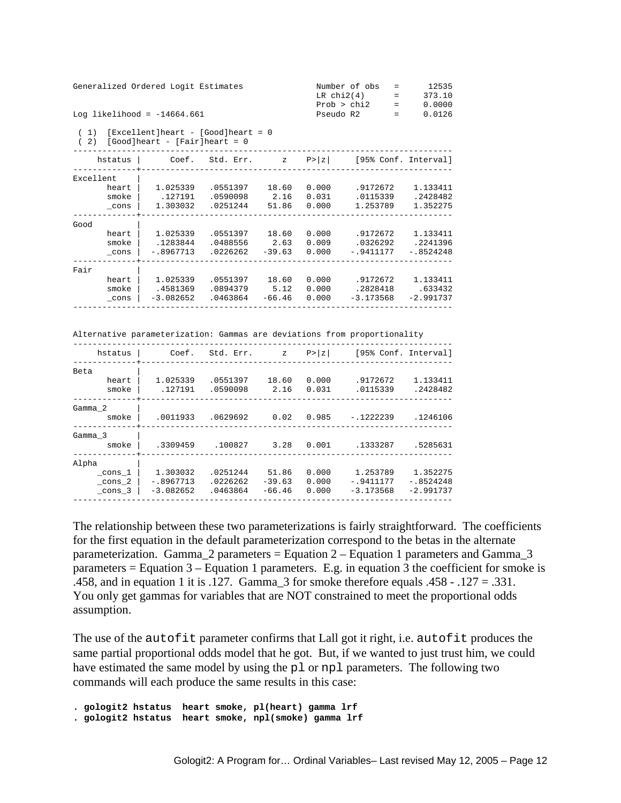| Generalized Ordered Logit Estimates | Number of obs | $\sim$ $\sim$ $\sim$      | 12535  |
|-------------------------------------|---------------|---------------------------|--------|
|                                     | LR chi2(4)    | $\mathbf{r} = \mathbf{r}$ | 373.10 |
|                                     | Prob > chi2   | $\mathbf{r} = \mathbf{r}$ | 0.0000 |
| Log likelihood = $-14664.661$       | Pseudo R2     | <b>Service</b> State      | 0.0126 |
|                                     |               |                           |        |

 ( 1) [Excellent]heart - [Good]heart = 0  $(2)$  [Good]heart - [Fair]heart = 0

| hstatus   | Coef.       | Std. Err. | z        | P >  z |             | [95% Conf. Interval] |
|-----------|-------------|-----------|----------|--------|-------------|----------------------|
| Excellent |             |           |          |        |             |                      |
| heart     | 1.025339    | .0551397  | 18.60    | 0.000  | .9172672    | 1.133411             |
| smoke     | .127191     | .0590098  | 2.16     | 0.031  | .0115339    | .2428482             |
| cons      | 1.303032    | .0251244  | 51.86    | 0.000  | 1.253789    | 1.352275             |
| Good      |             |           |          |        |             |                      |
| heart     | 1.025339    | .0551397  | 18.60    | 0.000  | .9172672    | 1.133411             |
| smoke     | .1283844    | .0488556  | 2.63     | 0.009  | .0326292    | .2241396             |
| cons      | $-.8967713$ | .0226262  | $-39.63$ | 0.000  | $-.9411177$ | $-.8524248$          |
| Fair      |             |           |          |        |             |                      |
| heart     | 1.025339    | .0551397  | 18.60    | 0.000  | .9172672    | 1.133411             |
| smoke     | .4581369    | .0894379  | 5.12     | 0.000  | .2828418    | .633432              |
| cons      | $-3.082652$ | .0463864  | $-66.46$ | 0.000  | $-3.173568$ | $-2.991737$          |
|           |             |           |          |        |             |                      |

Alternative parameterization: Gammas are deviations from proportionality

| hstatus     | Coef.       | Std. Err. | z.       | P >  z |             | [95% Conf. Interval] |
|-------------|-------------|-----------|----------|--------|-------------|----------------------|
| Beta        |             |           |          |        |             |                      |
| heart       | 1.025339    | .0551397  | 18.60    | 0.000  | .9172672    | 1.133411             |
| smoke       | .127191     | .0590098  | 2.16     | 0.031  | .0115339    | .2428482             |
| Gamma 2     |             |           |          |        |             |                      |
| smoke       | .0011933    | .0629692  | 0.02     | 0.985  | $-.1222239$ | .1246106             |
| Gamma 3     |             |           |          |        |             |                      |
| smoke       | .3309459    | .100827   | 3.28     | 0.001  | .1333287    | .5285631             |
| Alpha       |             |           |          |        |             |                      |
| $\_cons\_1$ | 1.303032    | .0251244  | 51.86    | 0.000  | 1.253789    | 1.352275             |
| $\_cons_2$  | $-.8967713$ | .0226262  | $-39.63$ | 0.000  | $-.9411177$ | $-.8524248$          |
| cons 3      | $-3.082652$ | .0463864  | $-66.46$ | 0.000  | $-3.173568$ | $-2.991737$          |
|             |             |           |          |        |             |                      |

The relationship between these two parameterizations is fairly straightforward. The coefficients for the first equation in the default parameterization correspond to the betas in the alternate parameterization. Gamma  $2$  parameters = Equation  $2 -$  Equation 1 parameters and Gamma  $3$ parameters = Equation 3 – Equation 1 parameters. E.g. in equation 3 the coefficient for smoke is .458, and in equation 1 it is .127. Gamma\_3 for smoke therefore equals .458 - .127 = .331. You only get gammas for variables that are NOT constrained to meet the proportional odds assumption.

The use of the autofit parameter confirms that Lall got it right, i.e. autofit produces the same partial proportional odds model that he got. But, if we wanted to just trust him, we could have estimated the same model by using the pl or npl parameters. The following two commands will each produce the same results in this case:

**. gologit2 hstatus heart smoke, pl(heart) gamma lrf . gologit2 hstatus heart smoke, npl(smoke) gamma lrf**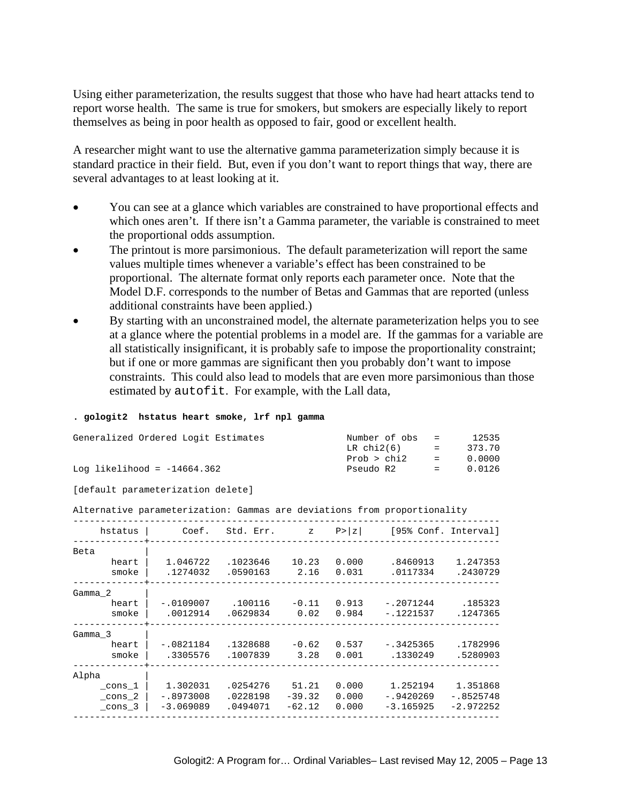Using either parameterization, the results suggest that those who have had heart attacks tend to report worse health. The same is true for smokers, but smokers are especially likely to report themselves as being in poor health as opposed to fair, good or excellent health.

A researcher might want to use the alternative gamma parameterization simply because it is standard practice in their field. But, even if you don't want to report things that way, there are several advantages to at least looking at it.

- You can see at a glance which variables are constrained to have proportional effects and which ones aren't. If there isn't a Gamma parameter, the variable is constrained to meet the proportional odds assumption.
- The printout is more parsimonious. The default parameterization will report the same values multiple times whenever a variable's effect has been constrained to be proportional. The alternate format only reports each parameter once. Note that the Model D.F. corresponds to the number of Betas and Gammas that are reported (unless additional constraints have been applied.)
- By starting with an unconstrained model, the alternate parameterization helps you to see at a glance where the potential problems in a model are. If the gammas for a variable are all statistically insignificant, it is probably safe to impose the proportionality constraint; but if one or more gammas are significant then you probably don't want to impose constraints. This could also lead to models that are even more parsimonious than those estimated by autofit. For example, with the Lall data,

#### **. gologit2 hstatus heart smoke, lrf npl gamma**

| Number of obs |               | 12535                                                                 |
|---------------|---------------|-----------------------------------------------------------------------|
| LR chi2(6)    |               | 373.70                                                                |
| Prob > chi2   |               | 0.0000                                                                |
| Pseudo R2     | and the state | 0.0126                                                                |
|               |               | $\sim$ $\approx$<br><b>Service</b> State<br>$\mathbf{r} = \mathbf{r}$ |

[default parameterization delete]

Alternative parameterization: Gammas are deviations from proportionality

| hstatus | Coef.       | Std. Err. | $\mathbf{Z}$ | P >  z |             | [95% Conf. Interval] |
|---------|-------------|-----------|--------------|--------|-------------|----------------------|
| Beta    |             |           |              |        |             |                      |
| heart   | 1.046722    | .1023646  | 10.23        | 0.000  | .8460913    | 1.247353             |
| smoke   | .1274032    | .0590163  | 2.16         | 0.031  | .0117334    | .2430729             |
| Gamma 2 |             |           |              |        |             |                      |
| heart   | $-.0109007$ | .100116   | $-0.11$      | 0.913  | -.2071244   | .185323              |
| smoke   | .0012914    | .0629834  | 0.02         | 0.984  | $-.1221537$ | .1247365             |
| Gamma 3 |             |           |              |        |             |                      |
| heart   | $-.0821184$ | .1328688  | $-0.62$      | 0.537  | $-.3425365$ | .1782996             |
| smoke   | .3305576    | .1007839  | 3.28         | 0.001  | .1330249    | .5280903             |
| Alpha   |             |           |              |        |             |                      |
| _cons_1 | 1.302031    | .0254276  | 51.21        | 0.000  | 1.252194    | 1.351868             |
| cons 2  | $-.8973008$ | .0228198  | $-39.32$     | 0.000  | $-.9420269$ | $-18525748$          |
| _cons_3 | $-3.069089$ | .0494071  | $-62.12$     | 0.000  | $-3.165925$ | $-2.972252$          |
|         |             |           |              |        |             |                      |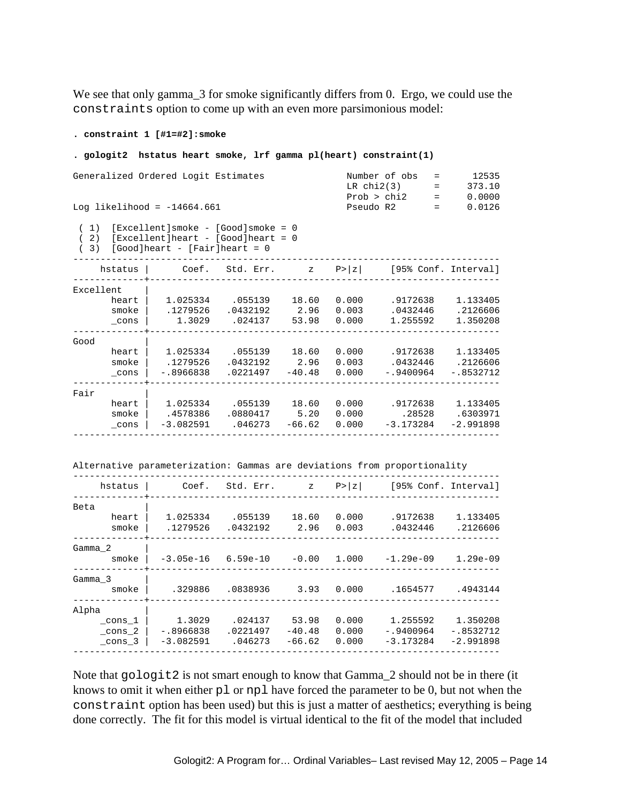We see that only gamma\_3 for smoke significantly differs from 0. Ergo, we could use the constraints option to come up with an even more parsimonious model:

**. constraint 1 [#1=#2]:smoke** 

**. gologit2 hstatus heart smoke, lrf gamma pl(heart) constraint(1)**  Generalized Ordered Logit Estimates Number of obs = 12535  $LR \text{ chi}(3)$  = 373.10 Prob > chi2 = 0.0000 Log likelihood = -14664.661 Pseudo R2 = 0.0126 ( 1) [Excellent]smoke - [Good]smoke = 0 ( 2) [Excellent]heart - [Good]heart = 0  $(3)$  [Good]heart - [Fair]heart = 0 ----------------------------------------------------------------------------- hstatus | Coef. Std. Err. z P>|z| [95% Conf. Interval] -------------+---------------------------------------------------------------- Excellent | heart | 1.025334 .055139 18.60 0.000 .9172638 1.133405 smoke | .1279526 .0432192 2.96 0.003 .0432446 .2126606 \_cons | 1.3029 .024137 53.98 0.000 1.255592 1.350208 -------------+---------------------------------------------------------------- Good<br>
heart 1.025334<br>
smoke 127255 heart | 1.025334 .055139 18.60 0.000 .9172638 1.133405 smoke | .1279526 .0432192 2.96 0.003 .0432446 .2126606 \_cons | -.8966838 .0221497 -40.48 0.000 -.9400964 -.8532712 -------------+---------------------------------------------------------------- Fair | heart | 1.025334 .055139 18.60 0.000 .9172638 1.133405 smoke | .4578386 .0880417 5.20 0.000 .28528 .6303971 \_cons | -3.082591 .046273 -66.62 0.000 -3.173284 -2.991898 ------------------------------------------------------------------------------ Alternative parameterization: Gammas are deviations from proportionality ----------------------------------------------------------------------------- hstatus | Coef. Std. Err. z P>|z| [95% Conf. Interval] -------------+---------------------------------------------------------------- Beta | heart | 1.025334 .055139 18.60 0.000 .9172638 1.133405 smoke | .1279526 .0432192 2.96 0.003 .0432446 .2126606 -------------+---------------------------------------------------------------- Gamma 2 | smoke | -3.05e-16 6.59e-10 -0.00 1.000 -1.29e-09 1.29e-09 -------------+---------------------------------------------------------------- Gamma 3 smoke | .329886 .0838936 3.93 0.000 .1654577 .4943144 -------------+---------------------------------------------------------------- Alpha | \_cons\_1 | 1.3029 .024137 53.98 0.000 1.255592 1.350208 \_cons\_2 | -.8966838 .0221497 -40.48 0.000 -.9400964 -.8532712

Note that  $q \circ \log i\tau$  is not smart enough to know that Gamma 2 should not be in there (it knows to omit it when either  $p1$  or  $np1$  have forced the parameter to be 0, but not when the constraint option has been used) but this is just a matter of aesthetics; everything is being done correctly. The fit for this model is virtual identical to the fit of the model that included

 \_cons\_3 | -3.082591 .046273 -66.62 0.000 -3.173284 -2.991898 ------------------------------------------------------------------------------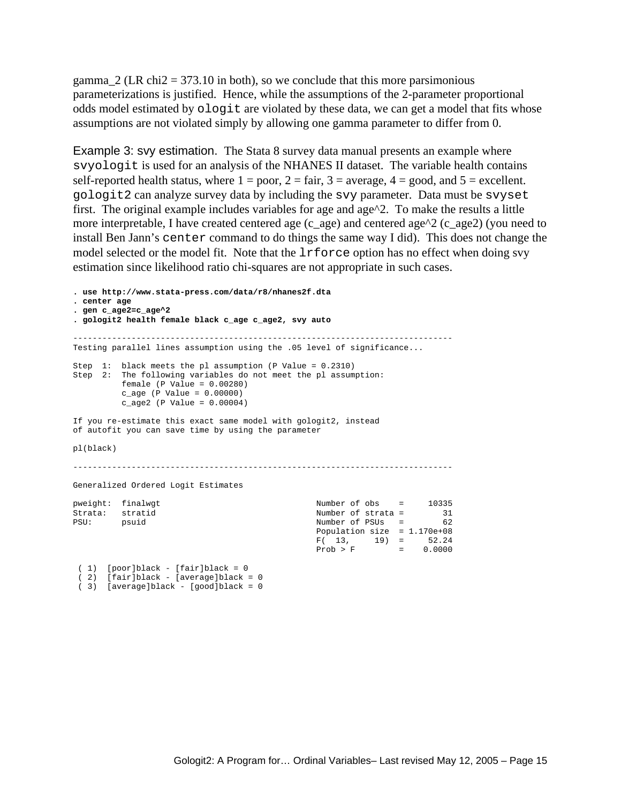gamma  $2$  (LR chi2 = 373.10 in both), so we conclude that this more parsimonious parameterizations is justified. Hence, while the assumptions of the 2-parameter proportional odds model estimated by ologit are violated by these data, we can get a model that fits whose assumptions are not violated simply by allowing one gamma parameter to differ from 0.

Example 3: svy estimation. The Stata 8 survey data manual presents an example where svyologit is used for an analysis of the NHANES II dataset. The variable health contains self-reported health status, where  $1 = poor$ ,  $2 = fair$ ,  $3 = average$ ,  $4 = good$ , and  $5 = excellent$ . gologit2 can analyze survey data by including the svy parameter. Data must be svyset first. The original example includes variables for age and age^2. To make the results a little more interpretable, I have created centered age (c\_age) and centered age^2 (c\_age2) (you need to install Ben Jann's center command to do things the same way I did). This does not change the model selected or the model fit. Note that the  $l$ rforce option has no effect when doing svy estimation since likelihood ratio chi-squares are not appropriate in such cases.

**. use http://www.stata-press.com/data/r8/nhanes2f.dta . center age . gen c\_age2=c\_age^2 . gologit2 health female black c\_age c\_age2, svy auto**  ------------------------------------------------------------------------------ Testing parallel lines assumption using the .05 level of significance... Step 1: black meets the pl assumption (P Value = 0.2310) Step 2: The following variables do not meet the pl assumption: female (P Value = 0.00280) c\_age (P Value = 0.00000) c\_age2 (P Value = 0.00004) If you re-estimate this exact same model with gologit2, instead of autofit you can save time by using the parameter pl(black) ------------------------------------------------------------------------------ Generalized Ordered Logit Estimates pweight: finalwgt Number of obs = 10335 Strata: stratid and the Number of strata = 31 PSU: psuid Number of PSUs = 62 Population size = 1.170e+08  $F(13, 19) = 52.24$  $Prob > F$  = 0.0000 ( 1) [poor]black - [fair]black = 0

```
 ( 2) [fair]black - [average]black = 0
```

```
 ( 3) [average]black - [good]black = 0
```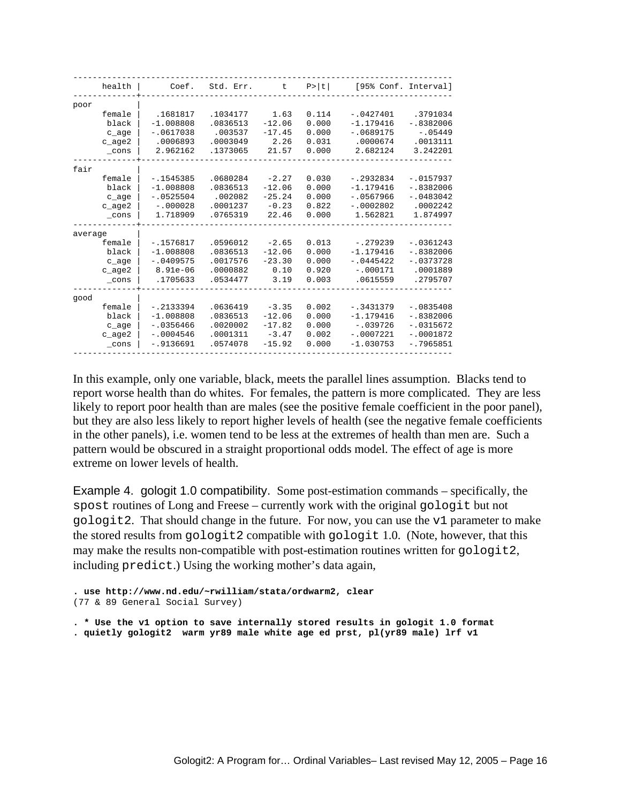| health          | Coef.       | Std. Err. | t        | P >  t |             | [95% Conf. Interval] |
|-----------------|-------------|-----------|----------|--------|-------------|----------------------|
| poor            |             |           |          |        |             |                      |
| female          | .1681817    | .1034177  | 1.63     | 0.114  | $-.0427401$ | .3791034             |
| black           | $-1.008808$ | .0836513  | $-12.06$ | 0.000  | $-1.179416$ | $-.8382006$          |
| c_age           | $-.0617038$ | .003537   | $-17.45$ | 0.000  | $-.0689175$ | $-.05449$            |
| $c$ age2        | .0006893    | .0003049  | 2.26     | 0.031  | .0000674    | .0013111             |
| $_{\rm \_cons}$ | 2.962162    | .1373065  | 21.57    | 0.000  | 2.682124    | 3.242201             |
| fair            |             |           |          |        |             |                      |
| female          | $-1545385$  | .0680284  | $-2.27$  | 0.030  | $-.2932834$ | $-10157937$          |
| black           | $-1.008808$ | .0836513  | $-12.06$ | 0.000  | $-1.179416$ | $-.8382006$          |
| c_age           | $-10525504$ | .002082   | $-25.24$ | 0.000  | $-10567966$ | $-10483042$          |
| $c$ age2        | $-.000028$  | .0001237  | $-0.23$  | 0.822  | $-.0002802$ | .0002242             |
| cons            | 1.718909    | .0765319  | 22.46    | 0.000  | 1.562821    | 1.874997             |
| average         |             |           |          |        |             |                      |
| female          | $-.1576817$ | .0596012  | $-2.65$  | 0.013  | $-.279239$  | $-10361243$          |
| black           | $-1.008808$ | .0836513  | $-12.06$ | 0.000  | $-1.179416$ | $-.8382006$          |
| c_age           | $-10409575$ | .0017576  | $-23.30$ | 0.000  | $-0.445422$ | $-.0373728$          |
| $c$ age2        | $8.91e-06$  | .0000882  | 0.10     | 0.920  | $-.000171$  | .0001889             |
| cons            | .1705633    | .0534477  | 3.19     | 0.003  | .0615559    | .2795707             |
| qood            |             |           |          |        |             |                      |
| female          | $-12133394$ | .0636419  | $-3.35$  | 0.002  | $-.3431379$ | $-0835408$           |
| black           | $-1.008808$ | .0836513  | $-12.06$ | 0.000  | $-1.179416$ | $-.8382006$          |
| c_age           | $-0.356466$ | .0020002  | $-17.82$ | 0.000  | $-.039726$  | $-10315672$          |
| $c$ age2        | $-.0004546$ | .0001311  | $-3.47$  | 0.002  | $-.0007221$ | $-.0001872$          |
| $_{\rm \_cons}$ | $-.9136691$ | .0574078  | $-15.92$ | 0.000  | $-1.030753$ | $-.7965851$          |

In this example, only one variable, black, meets the parallel lines assumption. Blacks tend to report worse health than do whites. For females, the pattern is more complicated. They are less likely to report poor health than are males (see the positive female coefficient in the poor panel), but they are also less likely to report higher levels of health (see the negative female coefficients in the other panels), i.e. women tend to be less at the extremes of health than men are. Such a pattern would be obscured in a straight proportional odds model. The effect of age is more extreme on lower levels of health.

Example 4. gologit 1.0 compatibility. Some post-estimation commands – specifically, the spost routines of Long and Freese – currently work with the original gologit but not gologit2. That should change in the future. For now, you can use the v1 parameter to make the stored results from gologit2 compatible with gologit 1.0. (Note, however, that this may make the results non-compatible with post-estimation routines written for gologit2, including predict.) Using the working mother's data again,

```
. use http://www.nd.edu/~rwilliam/stata/ordwarm2, clear 
(77 & 89 General Social Survey)
```

```
. * Use the v1 option to save internally stored results in gologit 1.0 format 
. quietly gologit2 warm yr89 male white age ed prst, pl(yr89 male) lrf v1
```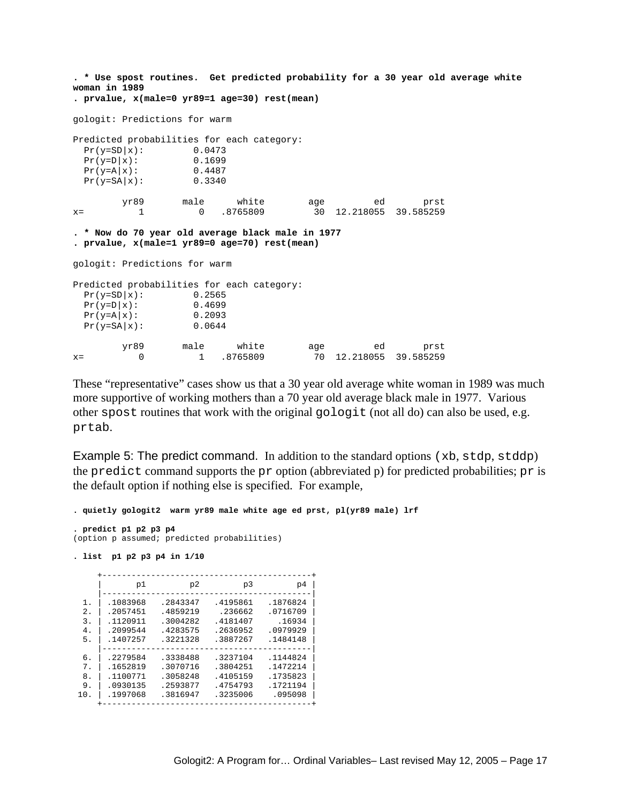**. \* Use spost routines. Get predicted probability for a 30 year old average white woman in 1989 . prvalue, x(male=0 yr89=1 age=30) rest(mean)**  gologit: Predictions for warm Predicted probabilities for each category:  $\begin{array}{lll} \mbox{Pr}\,(\, \mbox{y} \mbox{=}\, \mbox{SD}\, \vert \, \mbox{x}\,) : & 0\,\, .\, 0473 \\ \mbox{Pr}\,(\, \mbox{y} \mbox{=}\, \mbox{D}\, \vert \, \mbox{x}\,) : & 0\,\, .\, 1699 \\ \mbox{Pr}\,(\, \mbox{y} \mbox{=}\, \mbox{SA}\, \vert \, \mbox{x}\,) : & 0\,\, .\, 4487 \\ \mbox{Pr}\,(\, \mbox{y} \mbox{=}\, \mbox{SA}\, \vert \, \mbox{x}\,) : & 0\,\, .$  $Pr(y=D|X):$  $Pr(y = A | x):$  0.4487  $Pr(y=SA|x):$  0.3340 yr89 male white age ed prst x= 1 0 .8765809 30 12.218055 39.585259 **. \* Now do 70 year old average black male in 1977 . prvalue, x(male=1 yr89=0 age=70) rest(mean)**  gologit: Predictions for warm Predicted probabilities for each category:  $Pr(y=SD|x):$  0.2565  $\begin{array}{lll} \mbox{Pr}\,(\mbox{y=D}\,|\,\mbox{x}): & 0.4699 \\ \mbox{Pr}\,(\mbox{y=A}\,|\,\mbox{x}): & 0.2093 \\ \mbox{Pr}\,(\mbox{y=SA}\,|\,\mbox{x}): & 0.0644 \end{array}$  $Pr(y=A|x):$  $Pr(y=SA|x):$  yr89 male white age ed prst x= 0 1 .8765809 70 12.218055 39.585259

These "representative" cases show us that a 30 year old average white woman in 1989 was much more supportive of working mothers than a 70 year old average black male in 1977. Various other spost routines that work with the original gologit (not all do) can also be used, e.g. prtab.

Example 5: The predict command. In addition to the standard options (xb, stdp, stddp) the predict command supports the pr option (abbreviated p) for predicted probabilities; pr is the default option if nothing else is specified. For example,

```
. quietly gologit2 warm yr89 male white age ed prst, pl(yr89 male) lrf 
. predict p1 p2 p3 p4 
(option p assumed; predicted probabilities) 
. list p1 p2 p3 p4 in 1/10 
                      +-------------------------------------------+ 
           | p1 p2 p3 p4 | 
      |-------------------------------------------| 
  1. | .1083968 .2843347 .4195861 .1876824 | 
 2. | .2057451 .4859219 .236662 .0716709 | 
 3. | .1120911 .3004282 .4181407 .16934 | 
 4. | .2099544 .4283575 .2636952 .0979929 | 
 5. | .1407257 .3221328 .3887267 .1484148 | 
       |-------------------------------------------| 
 6. | .2279584 .3338488 .3237104 .1144824 | 
 7. | .1652819 .3070716 .3804251 .1472214 | 
  8. | .1100771 .3058248 .4105159 .1735823 | 
 9. | .0930135 .2593877 .4754793 .1721194 | 
 10. | .1997068 .3816947 .3235006 .095098 | 
          +-------------------------------------------+
```